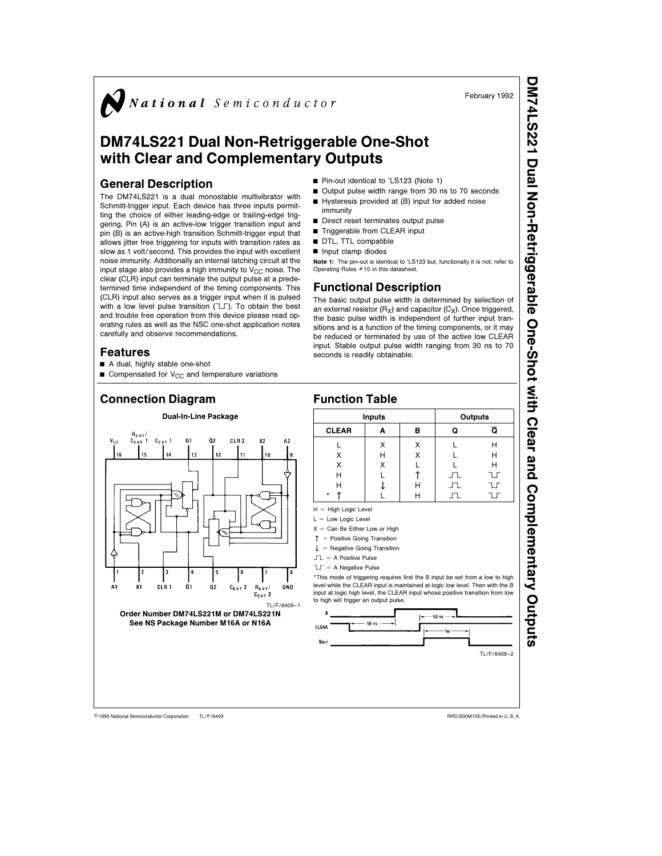$\sum$  National Semiconductor

# DM74LS221 Dual Non-Retriggerable One-Shot with Clear and Complementary Outputs

#### General Description

The DM74LS221 is a dual monostable multivibrator with Schmitt-trigger input. Each device has three inputs permitting the choice of either leading-edge or trailing-edge triggering. Pin (A) is an active-low trigger transition input and pin (B) is an active-high transition Schmitt-trigger input that allows jitter free triggering for inputs with transition rates as slow as 1 volt/second. This provides the input with excellent noise immunity. Additionally an internal latching circuit at the input stage also provides a high immunity to  $V_{CC}$  noise. The clear (CLR) input can terminate the output pulse at a predetermined time independent of the timing components. This (CLR) input also serves as a trigger input when it is pulsed with a low level pulse transition  $(T)$ . To obtain the best and trouble free operation from this device please read operating rules as well as the NSC one-shot application notes carefully and observe recommendations.

#### Features

- A dual, highly stable one-shot
- Gompensated for  $V_{CC}$  and temperature variations

# Connection Diagram



- Output pulse width range from 30 ns to 70 seconds Hysteresis provided at (B) input for added noise
- immunity
- $\blacksquare$  Direct reset terminates output pulse Triggerable from CLEAR input
- 
- DTL, TTL compatible
- $\blacksquare$  Input clamp diodes

Note 1: The pin-out is identical to 'LS123 but, functionally it is not; refer to Operating Rules  $#10$  in this datasheet.

### Functional Description

The basic output pulse width is determined by selection of an external resistor  $(R_X)$  and capacitor  $(C_X)$ . Once triggered, the basic pulse width is independent of further input transitions and is a function of the timing components, or it may be reduced or terminated by use of the active low CLEAR input. Stable output pulse width ranging from 30 ns to 70 seconds is readily obtainable.

#### Function Table



Inputs Outputs CLEAR  $A \mid B \mid Q \cap \overline{Q}$ L XX L H X HX L H X | X | L | L H X X L L H<br>H L T J J J H L | ↑ | 几 U<br>H | ↓ | H | 几 U \* u L H É ß

- $X =$  Can Be Either Low or High
- $\uparrow$  = Positive Going Transition
- $\downarrow$  = Negative Going Transition
- $\Box$  = A Positive Pulse

 $T = A$  Negative Pulse

\*This mode of triggering requires first the B input be set from a low to high level while the CLEAR input is maintained at logic low level. Then with the B input at logic high level, the CLEAR input whose positive transition from low to high will trigger an output pulse.



TL/F/6409 C1995 National Semiconductor Corporation TL/F/6409 National RRD-B30M105/Printed in U. S. A.

DM74LS221Dual Non-RetriggerableOne-Shot with Clear and ComplementaryOutputs

February 1992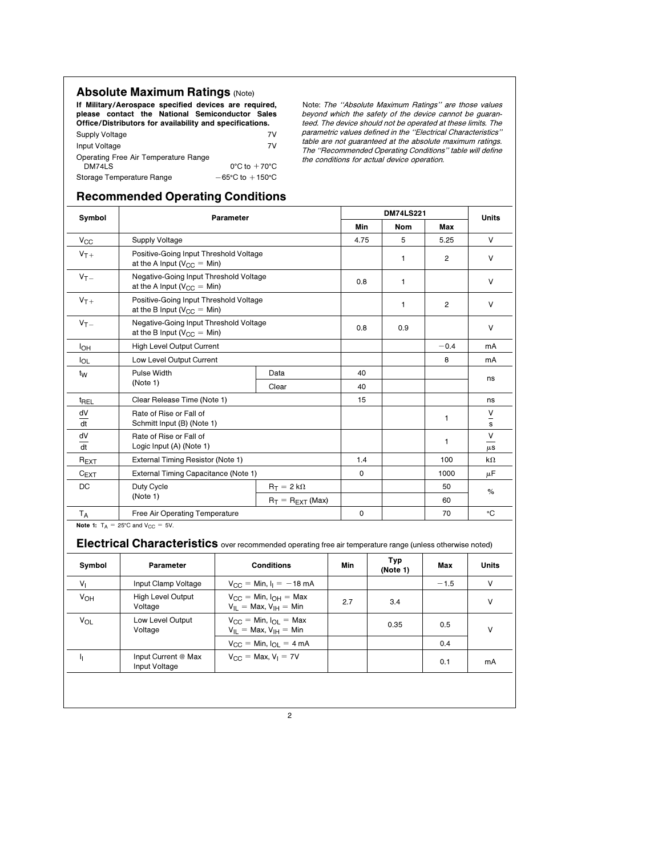## **Absolute Maximum Ratings (Note)**

If Military/Aerospace specified devices are required, please contact the National Semiconductor Sales Office/Distributors for availability and specifications.

| Supply Voltage                       | 7V                                  |
|--------------------------------------|-------------------------------------|
| Input Voltage                        | 7V                                  |
| Operating Free Air Temperature Range |                                     |
| <b>DM74LS</b>                        | $0^{\circ}$ C to $+70^{\circ}$ C    |
| Storage Temperature Range            | $-65^{\circ}$ C to $+150^{\circ}$ C |

Note: The ''Absolute Maximum Ratings'' are those values beyond which the safety of the device cannot be guaranteed. The device should not be operated at these limits. The parametric values defined in the ''Electrical Characteristics'' table are not guaranteed at the absolute maximum ratings. The ''Recommended Operating Conditions'' table will define the conditions for actual device operation.

# Recommended Operating Conditions Symbol Parameter DM74LS221 Units Min | Nom | Max  $N_{\rm CC}$  Supply Voltage  $\vert$  4.75  $\vert$  5  $\vert$  5.25 V  $V_{T+}$  Positive-Going Input Threshold Voltage 12V at the A Input (V<sub>CC</sub> = Min)  $V_{T-}$  Negative-Going Input Threshold Voltage 0.8 1 V v<br>at the A Input (V<sub>CC</sub> = Min)  $V_{T+}$  Positive-Going Input Threshold Voltage 12V at the B Input (V<sub>CC</sub> = Min)  $V_{T-}$  Negative-Going Input Threshold Voltage 0.8 0.9 0.9 V at the B Input (V<sub>CC</sub> = Min) I<sub>OH</sub> High Level Output Current **but Current but Current but Current** by the set of the set of the set of the set of the set of the set of the set of the set of the set of the set of the set of the set of the set of the se I<sub>OL</sub> | Low Level Output Current **198 manual Low Level Output Current** 198 manual Low Level Output Current 198 manual Low Level Output Current 199 manual Low Level Output Current 199 manual Low Level 2011 199 manual Low Le t<sub>W</sub> Pulse Width Data 40 ns (Note 1) ns (Note 1) ns (Note 1) ns (Note 1) ns (Note 1) ns (Note 1) ns (Note 1) ns (Note 1) ns (Note 1) ns (Note 1) ns (Note 1) ns (Note 1) ns (Note 1) ns (Note 1) ns (Note 1) ns (Note 1) ns (N t<sub>REL</sub> Clear Release Time (Note 1) 15 15 ns dV dt Rate of Rise or Fall of 1 (Note 1) and 2 and 2 and 2 and 2 and 2 and 2 and 2 and 2 and 2 and 2 and 2 set 5 set 5 set 5 set 5 set 5 set 5 set 5 set 5 set 5 set 5 set 5 set 5 set 5 set 5 set 5 set 5 set 5 set 5 set 5 set 5 s V dV dt Rate of Rise or Fall of 1<br>
1 a six langt (A) (Note 1) V Logic Input (A) (Note 1) and the contract of the contract of the contract of the contract of the contract of the contract of the contract of the contract of the contract of the contract of the contract of the contract of  $R_{\text{EXT}}$  External Timing Resistor (Note 1) 200 km  $C_{\text{EXT}}$  External Timing Capacitance (Note 1) 0 0 1000  $\mu$ F DC Duty Cycle  $\begin{array}{|c|c|c|c|}\n\hline\n\text{Duty Cycle} & \text{R}_T = 2 \text{ k}\Omega & 50 \\
\hline\n\text{R}_T = \text{R}_{\text{EXT}}\text{(Max)} & 60\n\end{array}$  % TA Free Air Operating Temperature 0 70 §C Note 1:  $T_A = 25^{\circ}$ C and  $V_{CC} = 5V$ . Electrical Characteristics over recommended operating free air temperature range (unless otherwise noted) Symbol Parameter **Conditions** Min Typ Max Units  $V_1$  Input Clamp Voltage V<sub>CC</sub> = Min,  $I_1 = -18$  mA  $1.5$  -1.5 V  $V_{\text{OH}}$  High Level Output  $V_{\text{CC}} =$  Min,  $I_{\text{OH}} =$  Max 2.7 3.4 V Voltage V  $V_{\text{OL}}$  Low Level Output  $V_{\text{CC}} = \text{Min. I}_{\text{OL}} = \text{Max.}$   $V_{\text{IH}} = \text{Min.}$  0.35 0.5  $V_{\text{V}}$  $V_{\text{CC}} = \text{Min}, I_{\text{OL}} = 4 \text{ mA}$  0.4  $\mathsf{I}_{\mathsf{I}}$  Input Current @ Max  $\qquad \qquad \mathsf{V}_{\mathsf{CC}} = \mathsf{Max}, \mathsf{V}_{\mathsf{I}} = 7\mathsf{V}$  0.1 mA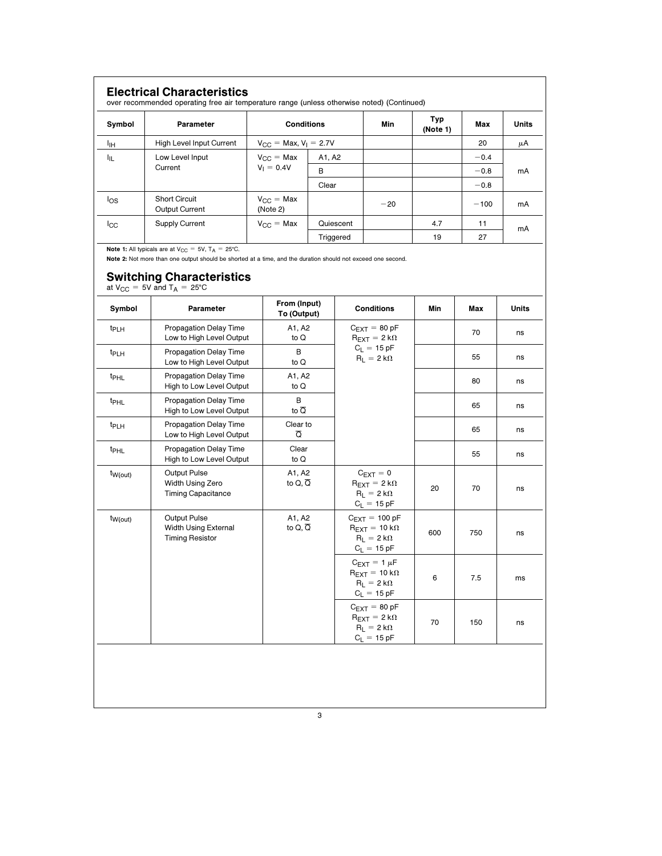| <b>Electrical Characteristics</b><br>over recommended operating free air temperature range (unless otherwise noted) (Continued) |                                               |                                          |           |       |                 |        |              |  |  |
|---------------------------------------------------------------------------------------------------------------------------------|-----------------------------------------------|------------------------------------------|-----------|-------|-----------------|--------|--------------|--|--|
| Symbol                                                                                                                          | Parameter                                     | <b>Conditions</b>                        |           | Min   | Typ<br>(Note 1) | Max    | <b>Units</b> |  |  |
| ЧH                                                                                                                              | High Level Input Current                      | $V_{\text{CC}} = \text{Max}, V_1 = 2.7V$ |           |       |                 | 20     | μA           |  |  |
| կլ                                                                                                                              | Low Level Input                               | $V_{CC}$ = Max                           | A1, A2    |       |                 | $-0.4$ |              |  |  |
|                                                                                                                                 | Current                                       | $V_1 = 0.4V$                             | B         |       |                 | $-0.8$ | mA           |  |  |
|                                                                                                                                 |                                               |                                          | Clear     |       |                 | $-0.8$ |              |  |  |
| los                                                                                                                             | <b>Short Circuit</b><br><b>Output Current</b> | $V_{\text{CC}} = \text{Max}$<br>(Note 2) |           | $-20$ |                 | $-100$ | mA           |  |  |
| $_{\rm lCG}$                                                                                                                    | <b>Supply Current</b>                         | $V_{\text{CC}} = \text{Max}$             | Quiescent |       | 4.7             | 11     | mA           |  |  |
|                                                                                                                                 |                                               |                                          | Triggered |       | 19              | 27     |              |  |  |

**Note 1:** All typicals are at  $V_{CC} = 5V$ ,  $T_A = 25^{\circ}$ C.

Note 2: Not more than one output should be shorted at a time, and the duration should not exceed one second.

# Switching Characteristics

at  $V_{CC}$  = 5V and  $T_A$  = 25°C

| Symbol           | Parameter                                                      | From (Input)<br>To (Output)         | <b>Conditions</b>                                                                                         | Min | Max | <b>Units</b> |
|------------------|----------------------------------------------------------------|-------------------------------------|-----------------------------------------------------------------------------------------------------------|-----|-----|--------------|
| t <sub>PLH</sub> | <b>Propagation Delay Time</b><br>Low to High Level Output      | A1, A2<br>to Q                      | $C_{\text{EXT}} = 80 \text{ pF}$<br>$R_{\text{EXT}} = 2 k\Omega$                                          |     | 70  | ns           |
| t <sub>PLH</sub> | <b>Propagation Delay Time</b><br>Low to High Level Output      | B<br>to Q                           | $C_L = 15 pF$<br>$R_1 = 2 k\Omega$                                                                        |     | 55  | ns           |
| t <sub>PHL</sub> | Propagation Delay Time<br>High to Low Level Output             | A1, A2<br>to $Q$                    |                                                                                                           |     | 80  | ns           |
| t <sub>PHL</sub> | <b>Propagation Delay Time</b><br>High to Low Level Output      | B<br>to $\overline{Q}$              |                                                                                                           |     | 65  | ns           |
| t <sub>PLH</sub> | <b>Propagation Delay Time</b><br>Low to High Level Output      | Clear to<br>$\overline{\mathsf{Q}}$ |                                                                                                           |     | 65  | ns           |
| t <sub>PHL</sub> | <b>Propagation Delay Time</b><br>High to Low Level Output      | Clear<br>to Q                       |                                                                                                           |     | 55  | ns           |
| $t_{W(out)}$     | Output Pulse<br>Width Using Zero<br><b>Timing Capacitance</b>  | A1, A2<br>to $Q, \overline{Q}$      | $C_{\text{EXT}}=0$<br>$R_{\text{EXT}} = 2 k\Omega$<br>$R_L = 2 k\Omega$<br>$C_L = 15 pF$                  | 20  | 70  | ns           |
| $t_{W(out)}$     | Output Pulse<br>Width Using External<br><b>Timing Resistor</b> | A1, A2<br>to $Q, \overline{Q}$      | $C_{\text{FXT}} = 100 \text{ pF}$<br>$R_{EXT} = 10 k\Omega$<br>$R_1 = 2 k\Omega$<br>$C_L = 15 pF$         | 600 | 750 | ns           |
|                  |                                                                |                                     | $C_{\text{EXT}} = 1 \mu F$<br>$R_{\text{FXT}} = 10 \text{ k}\Omega$<br>$R_L = 2 k\Omega$<br>$C_L = 15 pF$ | 6   | 7.5 | ms           |
|                  |                                                                |                                     | $C_{\text{EXT}} = 80 \text{ pF}$<br>$R_{\text{EXT}} = 2 k\Omega$<br>$R_1 = 2 k\Omega$<br>$C_L = 15 pF$    | 70  | 150 | ns           |
|                  |                                                                |                                     |                                                                                                           |     |     |              |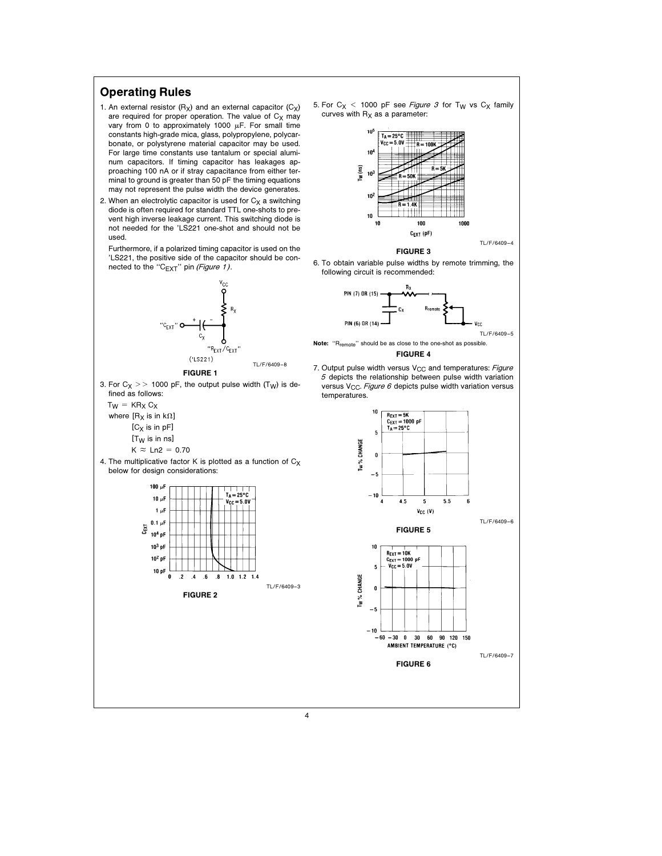### Operating Rules

- 1. An external resistor  $(R_X)$  and an external capacitor  $(C_X)$ are required for proper operation. The value of  $C_X$  may vary from 0 to approximately 1000  $\mu$ F. For small time constants high-grade mica, glass, polypropylene, polycarbonate, or polystyrene material capacitor may be used. For large time constants use tantalum or special aluminum capacitors. If timing capacitor has leakages approaching 100 nA or if stray capacitance from either terminal to ground is greater than 50 pF the timing equations may not represent the pulse width the device generates.
- 2. When an electrolytic capacitor is used for  $C_X$  a switching diode is often required for standard TTL one-shots to prevent high inverse leakage current. This switching diode is not needed for the 'LS221 one-shot and should not be used.

Furthermore, if a polarized timing capacitor is used on the 'LS221, the positive side of the capacitor should be connected to the "C $_{\text{EXT}}$ " pin (Figure 1).



5. For  $C_X$  < 1000 pF see Figure 3 for T<sub>W</sub> vs  $C_X$  family curves with  $R_X$  as a parameter:



FIGURE 3

6. To obtain variable pulse widths by remote trimming, the following circuit is recommended:





7. Output pulse width versus  $V_{CC}$  and temperatures: Figure  $5$  depicts the relationship between pulse width variation versus V<sub>CC</sub>. Figure 6 depicts pulse width variation versus temperatures.

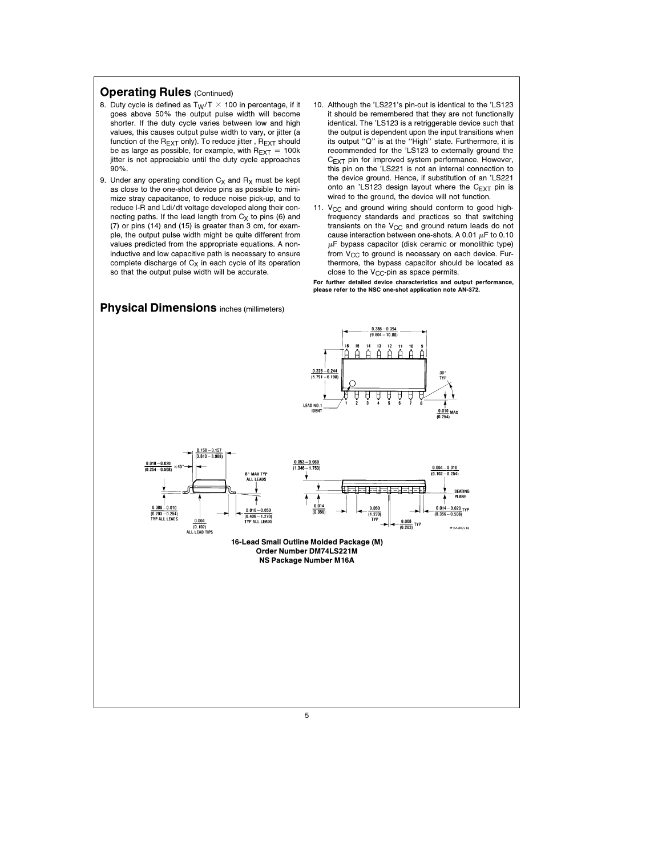#### **Operating Rules (Continued)**

- 8. Duty cycle is defined as  $T_W/T \times 100$  in percentage, if it goes above 50% the output pulse width will become shorter. If the duty cycle varies between low and high values, this causes output pulse width to vary, or jitter (a function of the  $R_{\text{EXT}}$  only). To reduce jitter,  $R_{\text{EXT}}$  should be as large as possible, for example, with  $R_{\text{EXT}} = 100k$ jitter is not appreciable until the duty cycle approaches 90%.
- 9. Under any operating condition  $C_X$  and  $R_X$  must be kept as close to the one-shot device pins as possible to minimize stray capacitance, to reduce noise pick-up, and to reduce I-R and Ldi/dt voltage developed along their connecting paths. If the lead length from  $C_X$  to pins (6) and (7) or pins (14) and (15) is greater than 3 cm, for example, the output pulse width might be quite different from values predicted from the appropriate equations. A noninductive and low capacitive path is necessary to ensure complete discharge of  $C_X$  in each cycle of its operation so that the output pulse width will be accurate.
- 10. Although the 'LS221's pin-out is identical to the 'LS123 it should be remembered that they are not functionally identical. The 'LS123 is a retriggerable device such that the output is dependent upon the input transitions when its output "Q" is at the "High" state. Furthermore, it is recommended for the 'LS123 to externally ground the  $C_{\text{EXT}}$  pin for improved system performance. However, this pin on the 'LS221 is not an internal connection to the device ground. Hence, if substitution of an 'LS221 onto an 'LS123 design layout where the  $C_{EXT}$  pin is wired to the ground, the device will not function.
- 11.  $V_{CC}$  and ground wiring should conform to good highfrequency standards and practices so that switching transients on the  $V_{CC}$  and ground return leads do not cause interaction between one-shots. A 0.01  $\mu$ F to 0.10  $\mu$ F bypass capacitor (disk ceramic or monolithic type) from  $V_{CC}$  to ground is necessary on each device. Furthermore, the bypass capacitor should be located as close to the  $V_{CC}$ -pin as space permits.

For further detailed device characteristics and output performance, please refer to the NSC one-shot application note AN-372.



5